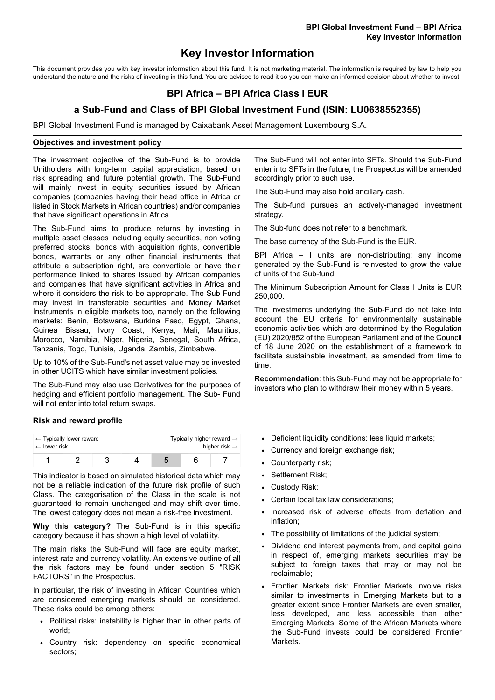# **Key Investor Information**

This document provides you with key investor information about this fund. It is not marketing material. The information is required by law to help you understand the nature and the risks of investing in this fund. You are advised to read it so you can make an informed decision about whether to invest.

# **BPI Africa – BPI Africa Class I EUR**

## **a Sub-Fund and Class of BPI Global Investment Fund (ISIN: LU0638552355)**

BPI Global Investment Fund is managed by Caixabank Asset Management Luxembourg S.A.

### **Objectives and investment policy**

The investment objective of the Sub-Fund is to provide Unitholders with long-term capital appreciation, based on risk spreading and future potential growth. The Sub-Fund will mainly invest in equity securities issued by African companies (companies having their head office in Africa or listed in Stock Markets in African countries) and/or companies that have significant operations in Africa.

The Sub-Fund aims to produce returns by investing in multiple asset classes including equity securities, non voting preferred stocks, bonds with acquisition rights, convertible bonds, warrants or any other financial instruments that attribute a subscription right, are convertible or have their performance linked to shares issued by African companies and companies that have significant activities in Africa and where it considers the risk to be appropriate. The Sub-Fund may invest in transferable securities and Money Market Instruments in eligible markets too, namely on the following markets: Benin, Botswana, Burkina Faso, Egypt, Ghana, Guinea Bissau, Ivory Coast, Kenya, Mali, Mauritius, Morocco, Namibia, Niger, Nigeria, Senegal, South Africa, Tanzania, Togo, Tunisia, Uganda, Zambia, Zimbabwe.

Up to 10% of the Sub-Fund's net asset value may be invested in other UCITS which have similar investment policies.

The Sub-Fund may also use Derivatives for the purposes of hedging and efficient portfolio management. The Sub- Fund will not enter into total return swaps.

The Sub-Fund will not enter into SFTs. Should the Sub-Fund enter into SFTs in the future, the Prospectus will be amended accordingly prior to such use.

The Sub-Fund may also hold ancillary cash.

The Sub-fund pursues an actively-managed investment strategy.

The Sub-fund does not refer to a benchmark.

The base currency of the Sub-Fund is the EUR.

BPI Africa – I units are non-distributing: any income generated by the Sub-Fund is reinvested to grow the value of units of the Sub-fund.

The Minimum Subscription Amount for Class I Units is EUR 250,000.

The investments underlying the Sub-Fund do not take into account the EU criteria for environmentally sustainable economic activities which are determined by the Regulation (EU) 2020/852 of the European Parliament and of the Council of 18 June 2020 on the establishment of a framework to facilitate sustainable investment, as amended from time to time.

**Recommendation**: this Sub-Fund may not be appropriate for investors who plan to withdraw their money within 5 years.

#### **Risk and reward profile**

| $\leftarrow$ lower risk | $\leftarrow$ Typically lower reward |  | Typically higher reward $\rightarrow$<br>higher risk $\rightarrow$ |  |  |
|-------------------------|-------------------------------------|--|--------------------------------------------------------------------|--|--|
|                         |                                     |  |                                                                    |  |  |

This indicator is based on simulated historical data which may not be a reliable indication of the future risk profile of such Class. The categorisation of the Class in the scale is not guaranteed to remain unchanged and may shift over time. The lowest category does not mean a risk-free investment.

**Why this category?** The Sub-Fund is in this specific category because it has shown a high level of volatility.

The main risks the Sub-Fund will face are equity market, interest rate and currency volatility. An extensive outline of all the risk factors may be found under section 5 "RISK FACTORS" in the Prospectus.

In particular, the risk of investing in African Countries which are considered emerging markets should be considered. These risks could be among others:

- Political risks: instability is higher than in other parts of world;
- Country risk: dependency on specific economical sectors;
- Deficient liquidity conditions: less liquid markets;
- Currency and foreign exchange risk;
- Counterparty risk;
- Settlement Risk;
- Custody Risk;
- Certain local tax law considerations:
- Increased risk of adverse effects from deflation and inflation;
- The possibility of limitations of the judicial system;
- Dividend and interest payments from, and capital gains in respect of, emerging markets securities may be subject to foreign taxes that may or may not be reclaimable;
- Frontier Markets risk: Frontier Markets involve risks similar to investments in Emerging Markets but to a greater extent since Frontier Markets are even smaller, less developed, and less accessible than other Emerging Markets. Some of the African Markets where the Sub-Fund invests could be considered Frontier **Markets**